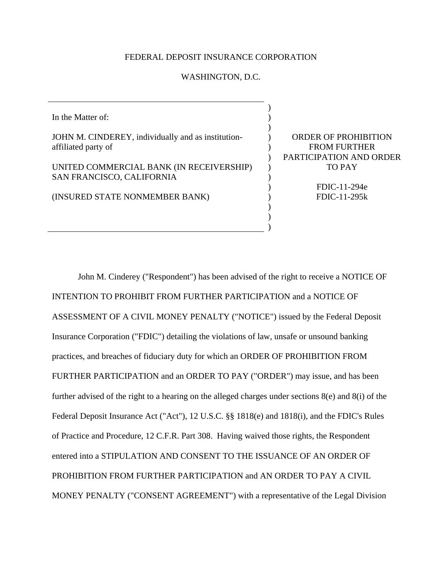## FEDERAL DEPOSIT INSURANCE CORPORATION

## WASHINGTON, D.C.

In the Matter of: JOHN M. CINDEREY, individually and as institutionaffiliated party of UNITED COMMERCIAL BANK (IN RECEIVERSHIP) SAN FRANCISCO, CALIFORNIA (INSURED STATE NONMEMBER BANK) ) ) )  $\mathcal{L}$  $\lambda$  $\mathcal{L}$  $\mathcal{L}$  $\mathcal{L}$ ) ) )

ORDER OF PROHIBITION FROM FURTHER PARTICIPATION AND ORDER TO PAY

> FDIC-11-294e FDIC-11-295k

) )

John M. Cinderey ("Respondent") has been advised of the right to receive a NOTICE OF INTENTION TO PROHIBIT FROM FURTHER PARTICIPATION and a NOTICE OF ASSESSMENT OF A CIVIL MONEY PENALTY ("NOTICE") issued by the Federal Deposit Insurance Corporation ("FDIC") detailing the violations of law, unsafe or unsound banking practices, and breaches of fiduciary duty for which an ORDER OF PROHIBITION FROM FURTHER PARTICIPATION and an ORDER TO PAY ("ORDER") may issue, and has been further advised of the right to a hearing on the alleged charges under sections 8(e) and 8(i) of the Federal Deposit Insurance Act ("Act"), 12 U.S.C. §§ 1818(e) and 1818(i), and the FDIC's Rules of Practice and Procedure, 12 C.F.R. Part 308. Having waived those rights, the Respondent entered into a STIPULATION AND CONSENT TO THE ISSUANCE OF AN ORDER OF PROHIBITION FROM FURTHER PARTICIPATION and AN ORDER TO PAY A CIVIL MONEY PENALTY ("CONSENT AGREEMENT") with a representative of the Legal Division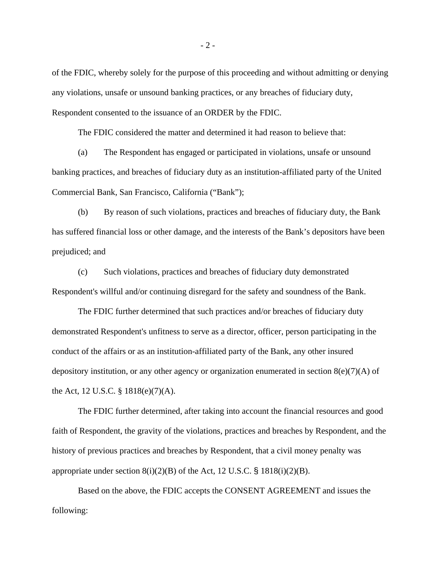of the FDIC, whereby solely for the purpose of this proceeding and without admitting or denying any violations, unsafe or unsound banking practices, or any breaches of fiduciary duty, Respondent consented to the issuance of an ORDER by the FDIC.

The FDIC considered the matter and determined it had reason to believe that:

 (a) The Respondent has engaged or participated in violations, unsafe or unsound banking practices, and breaches of fiduciary duty as an institution-affiliated party of the United Commercial Bank, San Francisco, California ("Bank");

(b) By reason of such violations, practices and breaches of fiduciary duty, the Bank has suffered financial loss or other damage, and the interests of the Bank's depositors have been prejudiced; and

(c) Such violations, practices and breaches of fiduciary duty demonstrated Respondent's willful and/or continuing disregard for the safety and soundness of the Bank.

The FDIC further determined that such practices and/or breaches of fiduciary duty demonstrated Respondent's unfitness to serve as a director, officer, person participating in the conduct of the affairs or as an institution-affiliated party of the Bank, any other insured depository institution, or any other agency or organization enumerated in section  $8(e)(7)(A)$  of the Act, 12 U.S.C. § 1818(e)(7)(A).

The FDIC further determined, after taking into account the financial resources and good faith of Respondent, the gravity of the violations, practices and breaches by Respondent, and the history of previous practices and breaches by Respondent, that a civil money penalty was appropriate under section  $8(i)(2)(B)$  of the Act, 12 U.S.C. § 1818(i)(2)(B).

Based on the above, the FDIC accepts the CONSENT AGREEMENT and issues the following: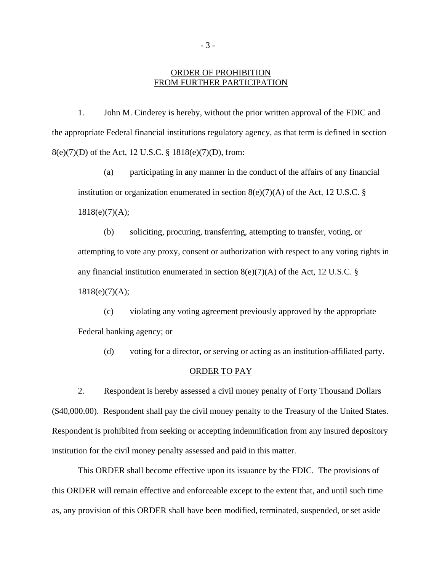## ORDER OF PROHIBITION FROM FURTHER PARTICIPATION

1. John M. Cinderey is hereby, without the prior written approval of the FDIC and the appropriate Federal financial institutions regulatory agency, as that term is defined in section 8(e)(7)(D) of the Act, 12 U.S.C. § 1818(e)(7)(D), from:

(a) participating in any manner in the conduct of the affairs of any financial institution or organization enumerated in section  $8(e)(7)(A)$  of the Act, 12 U.S.C. § 1818(e)(7)(A);

(b) soliciting, procuring, transferring, attempting to transfer, voting, or attempting to vote any proxy, consent or authorization with respect to any voting rights in any financial institution enumerated in section  $8(e)(7)(A)$  of the Act, 12 U.S.C. §  $1818(e)(7)(A);$ 

(c) violating any voting agreement previously approved by the appropriate Federal banking agency; or

(d) voting for a director, or serving or acting as an institution-affiliated party.

## ORDER TO PAY

2. Respondent is hereby assessed a civil money penalty of Forty Thousand Dollars (\$40,000.00). Respondent shall pay the civil money penalty to the Treasury of the United States. Respondent is prohibited from seeking or accepting indemnification from any insured depository institution for the civil money penalty assessed and paid in this matter.

This ORDER shall become effective upon its issuance by the FDIC. The provisions of this ORDER will remain effective and enforceable except to the extent that, and until such time as, any provision of this ORDER shall have been modified, terminated, suspended, or set aside